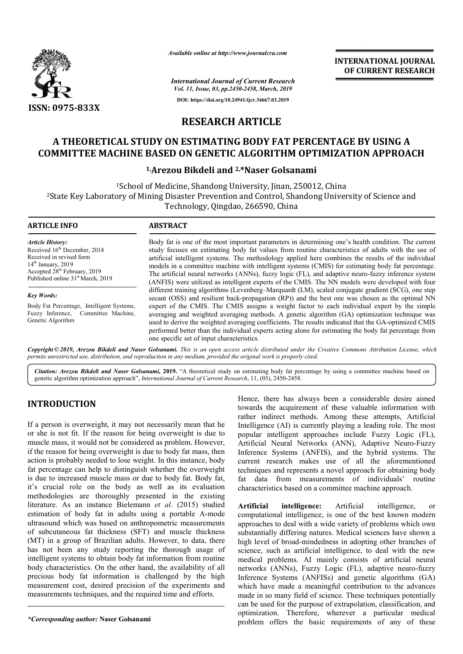

*Available online at http://www.journalcra.com*

*International Journal of Current Research Vol. 11, Issue, 03, pp.2450-2458, March, 2019*

**DOI: https://doi.org/10.24941/ijcr.34667.03.2019**

## **INTERNATIONAL JOURNAL OF CURRENT RESEARCH**

**RESEARCH ARTICLE**

# **A THEORETICAL STUDY ON ESTIMATING BODY FAT PERCENTAGE BY USING A COMMITTEE MACHINE BASED ON GENETIC ALGORITHM OPTIMIZATION APPROACH BODY FAT COMMITTEE**

## **1, Arezou Bikdeli and 2,\*Naser Golsanami**

<sup>1</sup>School of Medicine, Shandong University, Jinan, 250012, China <sup>2</sup>State Key Laboratory of Mining Disaster Prevention and Control, Shandong University of Science and Technology, Qingdao, 266590, China

| <b>ARTICLE INFO</b>                                                                                                                                                                                      | <b>ABSTRACT</b>                                                                                                                                                                                                                                                                                                                                                                                                                                                                                                                                                                                                                                                       |
|----------------------------------------------------------------------------------------------------------------------------------------------------------------------------------------------------------|-----------------------------------------------------------------------------------------------------------------------------------------------------------------------------------------------------------------------------------------------------------------------------------------------------------------------------------------------------------------------------------------------------------------------------------------------------------------------------------------------------------------------------------------------------------------------------------------------------------------------------------------------------------------------|
| <b>Article History:</b><br>Received 16th December, 2018<br>Received in revised form<br>$14th$ January, 2019<br>Accepted 28 <sup>th</sup> February, 2019<br>Published online 31 <sup>st</sup> March, 2019 | Body fat is one of the most important parameters in determining one's health condition. The current<br>study focuses on estimating body fat values from routine characteristics of adults with the use of<br>artificial intelligent systems. The methodology applied here combines the results of the individual<br>models in a committee machine with intelligent systems (CMIS) for estimating body fat percentage.<br>The artificial neural networks (ANNs), fuzzy logic (FL), and adaptive neuro-fuzzy inference system<br>(ANFIS) were utilized as intelligent experts of the CMIS. The NN models were developed with four                                       |
| <b>Key Words:</b><br>Body Fat Percentage, Intelligent Systems,<br>Fuzzy Inference, Committee Machine,<br>Genetic Algorithm                                                                               | different training algorithms (Levenberg–Marquardt (LM), scaled conjugate gradient (SCG), one step<br>secant (OSS) and resilient back-propagation (RP)) and the best one was chosen as the optimal NN<br>expert of the CMIS. The CMIS assigns a weight factor to each individual expert by the simple<br>averaging and weighted averaging methods. A genetic algorithm (GA) optimization technique was<br>used to derive the weighted averaging coefficients. The results indicated that the GA-optimized CMIS<br>performed better than the individual experts acting alone for estimating the body fat percentage from<br>one specific set of input characteristics. |

Copyright © 2019, Arezou Bikdeli and Naser Golsanami. This is an open access article distributed under the Creative Commons Attribution License, which permits unrestricted use, distribution, and reproduction in any medium, provided the original work is properly cited.

Citation: Arezou Bikdeli and Naser Golsanami, 2019. "A theoretical study on estimating body fat percentage by using a committee machine based on genetic algorithm optimization approach", *International Journal of Current Research*, 11, (03), 2450-2458.

# **INTRODUCTION**

If a person is overweight, it may not necessarily mean that he or she is not fit. If the reason for being overweight is due to muscle mass, it would not be considered as problem. However, if the reason for being overweight is due to body fat mass, then action is probably needed to lose weight. In this instance, body fat percentage can help to distinguish whether the overweight is due to increased muscle mass or due to body fat. Body fat, it's crucial role on the body as well as its evaluation methodologies are thoroughly presented in the existing literature. As an instance Bielemann *et al* . (2015) studied estimation of body fat in adults using a portable A-mode ultrasound which was based on anthropometric measurements of subcutaneous fat thickness (SFT) and muscle thickness (MT) in a group of Brazilian adults. However, to data, there has not been any study reporting the thorough usage of intelligent systems to obtain body fat information from routine of subcutaneous fat thickness (SFT) and muscle thickness (MT) in a group of Brazilian adults. However, to data, there has not been any study reporting the thorough usage of intelligent systems to obtain body fat informatio precious body fat information is challenged by the high measurement cost, desired precision of the experiments and measurements techniques, and the required time and efforts.

*\*Corresponding author:* **Naser Golsanami**

Hence, there has always been a considerable desire aimed towards the acquirement of these valuable information with rather indirect methods. Among these attempts, Artificial Intelligence (AI) is currently playing a leading role. The most popular intelligent approaches include Fuzzy Logic (FL), Artificial Neural Networks (ANN), Adaptive Neuro-Fuzzy Inference Systems (ANFIS), and the hybrid systems. The current research makes use of all the aforementioned techniques and represents a novel approach for obtaining body fat data from measurements of individuals' routine characteristics based on a committee machine approach. e has always been a considerable desire aimed<br>acquirement of these valuable information with<br>ect methods. Among these attempts, Artificial<br>(AI) is currently playing a leading role. The most<br>elligent approaches include Fuzz Systems (ANFIS), and the hybrid systems.<br>search makes use of all the aforements<br>and represents a novel approach for obtaining<br>from measurements of individuals' ro<br>ics based on a committee machine approach.

**Artificial intelligence:**  computational intelligence, is one of the best known modern approaches to deal with a wide variety of problems which own substantially differing natures. Medical sciences have shown a high level of broad-mindedness in adopting other branches of science, such as artificial intelligence, to deal with the new medical problems. AI mainly consists of artificial neural networks (ANNs), Fuzzy Logic (FL), adaptive neuro Inference Systems (ANFISs) and genetic algorithms (GA) which have made a meaningful contribution to the advances made in so many field of science. These techniques potentially can be used for the purpose of extrapolation, classification, and optimization. Therefore, wherever a particular medical problem offers the basic requirements of any of these **:** Artificial intelligence, or intelligence, is one of the best known modern<br>deal with a wide variety of problems which own<br>iffering natures. Medical sciences have shown a such as artificial intelligence, to deal with the new<br>problems. AI mainly consists of artificial neural<br>(ANNs), Fuzzy Logic (FL), adaptive neuro-fuzzy e Systems (ANFISs) and genetic algorithms (GA) ave made a meaningful contribution to the advances so many field of science. These techniques potentially **INTERNATIONAL FOUNDAL FOURNEM (CONTRERNATIONAL FOURNEM (CONTRERNATIONAL FOURNEM (CONTRERNATION)**<br> **BEODY FAT PERCENTAGE BY USING A ALGORITHM OPTIMIZATION APPROACH**<br> **BEODY FAT PERCENTAGE BY USING A**<br> **ARTICLE**<br> **BEODY FA**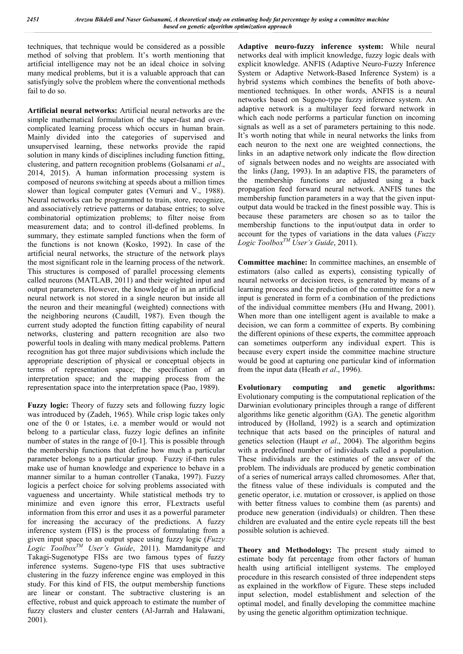techniques, that technique would be considered as a possible method of solving that problem. It's worth mentioning that artificial intelligence may not be an ideal choice in solving many medical problems, but it is a valuable approach that can satisfyingly solve the problem where the conventional methods fail to do so.

**Artificial neural networks:** Artificial neural networks are the simple mathematical formulation of the super-fast and overcomplicated learning process which occurs in human brain. Mainly divided into the categories of supervised and unsupervised learning, these networks provide the rapid solution in many kinds of disciplines including function fitting, clustering, and pattern recognition problems (Golsanami *et al*., 2014, 2015). A human information processing system is composed of neurons switching at speeds about a million times slower than logical computer gates (Vemuri and V., 1988). Neural networks can be programmed to train, store, recognize, and associatively retrieve patterns or database entries; to solve combinatorial optimization problems; to filter noise from measurement data; and to control ill-defined problems. In summary, they estimate sampled functions when the form of the functions is not known (Kosko, 1992). In case of the artificial neural networks, the structure of the network plays the most significant role in the learning process of the network. This structures is composed of parallel processing elements called neurons (MATLAB, 2011) and their weighted input and output parameters. However, the knowledge of in an artificial neural network is not stored in a single neuron but inside all the neuron and their meaningful (weighted) connections with the neighboring neurons (Caudill, 1987). Even though the current study adopted the function fitting capability of neural networks, clustering and pattern recognition are also two powerful tools in dealing with many medical problems. Pattern recognition has got three major subdivisions which include the appropriate description of physical or conceptual objects in terms of representation space; the specification of an interpretation space; and the mapping process from the representation space into the interpretation space (Pao, 1989).

**Fuzzy logic:** Theory of fuzzy sets and following fuzzy logic was introduced by (Zadeh, 1965). While crisp logic takes only one of the 0 or 1states, i.e. a member would or would not belong to a particular class, fuzzy logic defines an infinite number of states in the range of [0-1]. This is possible through the membership functions that define how much a particular parameter belongs to a particular group. Fuzzy if-then rules make use of human knowledge and experience to behave in a manner similar to a human controller (Tanaka, 1997). Fuzzy logicis a perfect choice for solving problems associated with vagueness and uncertainty. While statistical methods try to minimize and even ignore this error, FLextracts useful information from this error and uses it as a powerful parameter for increasing the accuracy of the predictions. A fuzzy inference system (FIS) is the process of formulating from a given input space to an output space using fuzzy logic (*Fuzzy Logic ToolboxTM User's Guide*, 2011). Mamdanitype and Takagi-Sugenotype FISs are two famous types of fuzzy inference systems. Sugeno-type FIS that uses subtractive clustering in the fuzzy inference engine was employed in this study. For this kind of FIS, the output membership functions are linear or constant. The subtractive clustering is an effective, robust and quick approach to estimate the number of fuzzy clusters and cluster centers (Al-Jarrah and Halawani, 2001).

**Adaptive neuro-fuzzy inference system:** While neural networks deal with implicit knowledge, fuzzy logic deals with explicit knowledge. ANFIS (Adaptive Neuro-Fuzzy Inference System or Adaptive Network-Based Inference System) is a hybrid systems which combines the benefits of both abovementioned techniques. In other words, ANFIS is a neural networks based on Sugeno-type fuzzy inference system. An adaptive network is a multilayer feed forward network in which each node performs a particular function on incoming signals as well as a set of parameters pertaining to this node. It's worth noting that while in neural networks the links from each neuron to the next one are weighted connections, the links in an adaptive network only indicate the flow direction of signals between nodes and no weights are associated with the links (Jang, 1993). In an adaptive FIS, the parameters of the membership functions are adjusted using a back propagation feed forward neural network. ANFIS tunes the membership function parameters in a way that the given inputoutput data would be tracked in the finest possible way. This is because these parameters are chosen so as to tailor the membership functions to the input/output data in order to account for the types of variations in the data values (*Fuzzy Logic ToolboxTM User's Guide*, 2011).

**Committee machine:** In committee machines, an ensemble of estimators (also called as experts), consisting typically of neural networks or decision trees, is generated by means of a learning process and the prediction of the committee for a new input is generated in form of a combination of the predictions of the individual committee members (Hu and Hwang, 2001). When more than one intelligent agent is available to make a decision, we can form a committee of experts. By combining the different opinions of these experts, the committee approach can sometimes outperform any individual expert. This is because every expert inside the committee machine structure would be good at capturing one particular kind of information from the input data (Heath *et al*., 1996).

**Evolutionary computing and genetic algorithms:**  Evolutionary computing is the computational replication of the Darwinian evolutionary principles through a range of different algorithms like genetic algorithm (GA). The genetic algorithm introduced by (Holland, 1992) is a search and optimization technique that acts based on the principles of natural and genetics selection (Haupt *et al*., 2004). The algorithm begins with a predefined number of individuals called a population. These individuals are the estimates of the answer of the problem. The individuals are produced by genetic combination of a series of numerical arrays called chromosomes. After that, the fitness value of these individuals is computed and the genetic operator, i.e. mutation or crossover, is applied on those with better fitness values to combine them (as parents) and produce new generation (individuals) or children. Then these children are evaluated and the entire cycle repeats till the best possible solution is achieved.

**Theory and Methodology:** The present study aimed to estimate body fat percentage from other factors of human health using artificial intelligent systems. The employed procedure in this research consisted of three independent steps as explained in the workflow of Figure. These steps included input selection, model establishment and selection of the optimal model, and finally developing the committee machine by using the genetic algorithm optimization technique.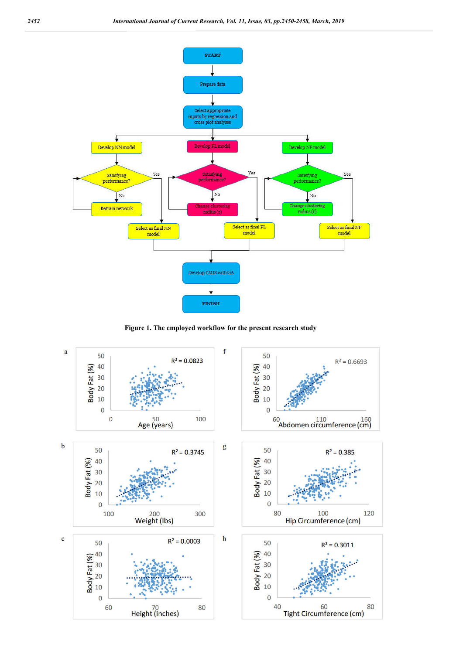

**Figure 1. The employed workflow for the present research study**

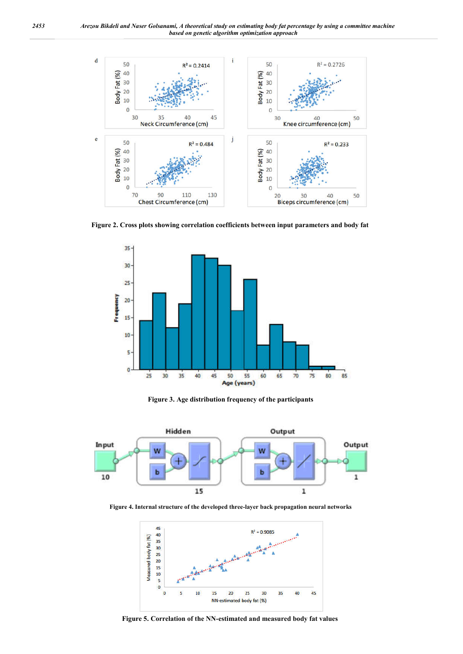

**Figure 2. Cross plots showing correlation coefficients between input parameters and body fat**



**Figure 3. Age distribution frequency of the participants**



**Figure 4. Internal structure of the developed three-layer back propagation neural networks**



**Figure 5. Correlation of the NN-estimated and measured body fat values**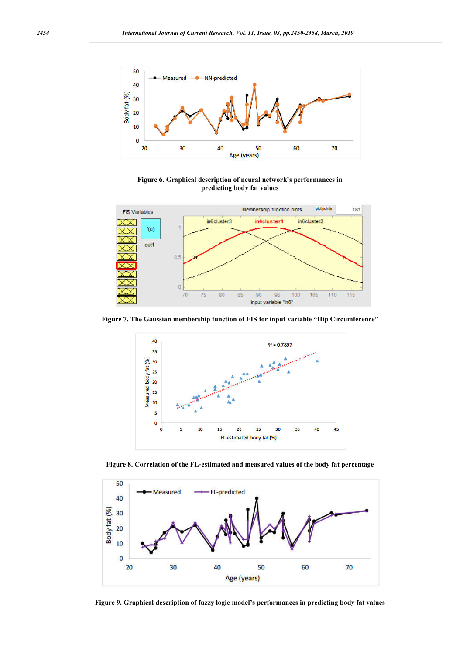

**Figure 6. Graphical description of neural network's performances in predicting body fat values**



**Figure 7. The Gaussian membership function of FIS for input variable "Hip Circumference"**



**Figure 8. Correlation of the FL-estimated and measured values of the body fat percentage**



**Figure 9. Graphical description of fuzzy logic model's performances in predicting body fat values**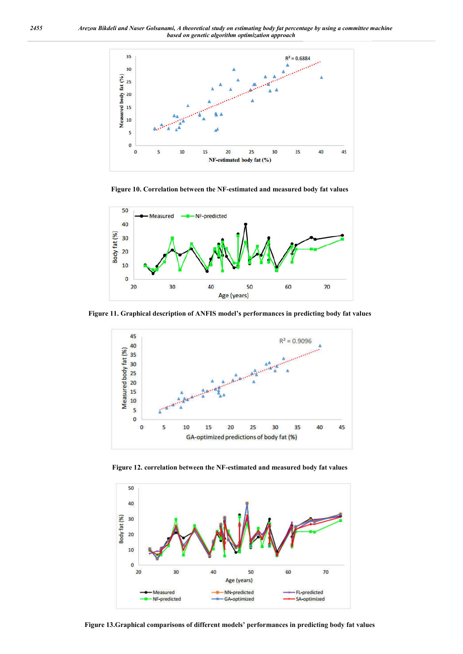

**Figure 10. Correlation between the NF-estimated and measured body fat values**



**Figure 11. Graphical description of ANFIS model's performances in predicting body fat values**



**Figure 12. correlation between the NF-estimated and measured body fat values**



**Figure 13.Graphical comparisons of different models' performances in predicting body fat values**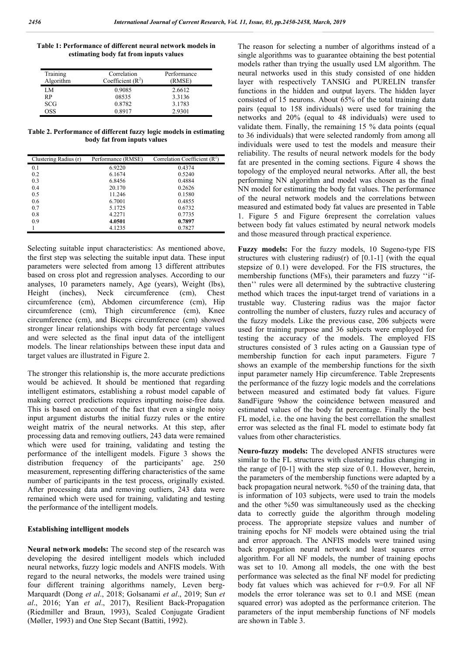**Table 1: Performance of different neural network models in estimating body fat from inputs values**

| Training<br>Algorithm | Correlation<br>Coefficient $(R^2)$ | Performance<br>(RMSE) |
|-----------------------|------------------------------------|-----------------------|
| LM                    | 0.9085                             | 2.6612                |
| RP                    | 08535                              | 3.3136                |
| <b>SCG</b>            | 0.8782                             | 3.1783                |
| OSS                   | 0.8917                             | 2.9301                |

**Table 2. Performance of different fuzzy logic models in estimating body fat from inputs values**

| Clustering Radius (r) | Performance (RMSE) | Correlation Coefficient $(R^2)$ |
|-----------------------|--------------------|---------------------------------|
| 0.1                   | 6.9220             | 0.4374                          |
| 0.2                   | 6.1674             | 0.5240                          |
| 0.3                   | 6.8456             | 0.4884                          |
| 0.4                   | 20.170             | 0.2626                          |
| 0.5                   | 11.246             | 0.1580                          |
| 0.6                   | 6.7001             | 0.4855                          |
| 0.7                   | 5.1725             | 0.6732                          |
| 0.8                   | 4.2271             | 0.7735                          |
| 0.9                   | 4.0501             | 0.7897                          |
|                       | 4.1235             | 0.7827                          |

Selecting suitable input characteristics: As mentioned above, the first step was selecting the suitable input data. These input parameters were selected from among 13 different attributes based on cross plot and regression analyses. According to our analyses, 10 parameters namely, Age (years), Weight (lbs), Height (inches), Neck circumference (cm), Chest circumference (cm), Abdomen circumference (cm), Hip circumference (cm), Thigh circumference (cm), Knee circumference (cm), and Biceps circumference (cm) showed stronger linear relationships with body fat percentage values and were selected as the final input data of the intelligent models. The linear relationships between these input data and target values are illustrated in Figure 2.

The stronger this relationship is, the more accurate predictions would be achieved. It should be mentioned that regarding intelligent estimators, establishing a robust model capable of making correct predictions requires inputting noise-free data. This is based on account of the fact that even a single noisy input argument disturbs the initial fuzzy rules or the entire weight matrix of the neural networks. At this step, after processing data and removing outliers, 243 data were remained which were used for training, validating and testing the performance of the intelligent models. Figure 3 shows the distribution frequency of the participants' age. 250 measurement, representing differing characteristics of the same number of participants in the test process, originally existed. After processing data and removing outliers, 243 data were remained which were used for training, validating and testing the performance of the intelligent models.

#### **Establishing intelligent models**

**Neural network models:** The second step of the research was developing the desired intelligent models which included neural networks, fuzzy logic models and ANFIS models. With regard to the neural networks, the models were trained using four different training algorithms namely, Leven berg-Marquardt (Dong *et al*., 2018; Golsanami *et al*., 2019; Sun *et al*., 2016; Yan *et al*., 2017), Resilient Back-Propagation (Riedmiller and Braun, 1993), Scaled Conjugate Gradient (Møller, 1993) and One Step Secant (Battiti, 1992).

The reason for selecting a number of algorithms instead of a single algorithms was to guarantee obtaining the best potential models rather than trying the usually used LM algorithm. The neural networks used in this study consisted of one hidden layer with respectively TANSIG and PURELIN transfer functions in the hidden and output layers. The hidden layer consisted of 15 neurons. About 65% of the total training data pairs (equal to 158 individuals) were used for training the networks and 20% (equal to 48 individuals) were used to validate them. Finally, the remaining 15 % data points (equal to 36 individuals) that were selected randomly from among all individuals were used to test the models and measure their reliability. The results of neural network models for the body fat are presented in the coming sections. Figure 4 shows the topology of the employed neural networks. After all, the best performing NN algorithm and model was chosen as the final NN model for estimating the body fat values. The performance of the neural network models and the correlations between measured and estimated body fat values are presented in Table 1. Figure 5 and Figure 6represent the correlation values between body fat values estimated by neural network models and those measured through practical experience.

**Fuzzy models:** For the fuzzy models, 10 Sugeno-type FIS structures with clustering radius(r) of  $[0.1-1]$  (with the equal stepsize of 0.1) were developed. For the FIS structures, the membership functions (MFs), their parameters and fuzzy ''ifthen'' rules were all determined by the subtractive clustering method which traces the input-target trend of variations in a trustable way. Clustering radius was the major factor controlling the number of clusters, fuzzy rules and accuracy of the fuzzy models. Like the previous case, 206 subjects were used for training purpose and 36 subjects were employed for testing the accuracy of the models. The employed FIS structures consisted of 3 rules acting on a Gaussian type of membership function for each input parameters. Figure 7 shows an example of the membership functions for the sixth input parameter namely Hip circumference. Table 2represents the performance of the fuzzy logic models and the correlations between measured and estimated body fat values. Figure 8andFigure 9show the coincidence between measured and estimated values of the body fat percentage. Finally the best FL model, i.e. the one having the best correllation the smallest error was selected as the final FL model to estimate body fat values from other characteristics.

**Neuro-fuzzy models:** The developed ANFIS structures were similar to the FL structures with clustering radius changing in the range of [0-1] with the step size of 0.1. However, herein, the parameters of the membership functions were adapted by a back propagation neural network. %50 of the training data, that is information of 103 subjects, were used to train the models and the other %50 was simultaneously used as the checking data to correctly guide the algorithm through modeling process. The appropriate stepsize values and number of training epochs for NF models were obtained using the trial and error approach. The ANFIS models were trained using back propagation neural network and least squares error algorithm. For all NF models, the number of training epochs was set to 10. Among all models, the one with the best performance was selected as the final NF model for predicting body fat values which was achieved for r=0.9. For all NF models the error tolerance was set to 0.1 and MSE (mean squared error) was adopted as the performance criterion. The parameters of the input membership functions of NF models are shown in Table 3.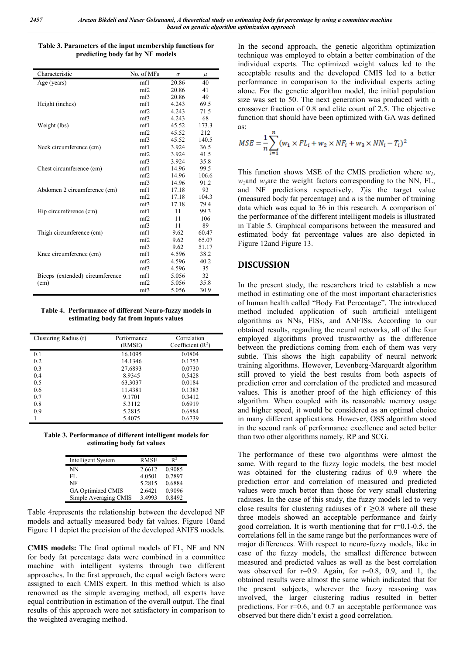**Table 3. Parameters of the input membership functions for predicting body fat by NF models**

| Characteristic                  | No. of MFs | $\sigma$ | $\mu$ |
|---------------------------------|------------|----------|-------|
| Age (years)                     | mf1        | 20.86    | 40    |
|                                 | mf2        | 20.86    | 41    |
|                                 | mf3        | 20.86    | 49    |
| Height (inches)                 | mf1        | 4.243    | 69.5  |
|                                 | mf2        | 4.243    | 71.5  |
|                                 | mf3        | 4.243    | 68    |
| Weight (lbs)                    | mf1        | 45.52    | 173.3 |
|                                 | mf2        | 45.52    | 212   |
|                                 | mf3        | 45.52    | 140.5 |
| Neck circumference (cm)         | mf1        | 3.924    | 36.5  |
|                                 | mf2        | 3.924    | 41.5  |
|                                 | mf3        | 3.924    | 35.8  |
| Chest circumference (cm)        | mf1        | 14.96    | 99.5  |
|                                 | mf2        | 14.96    | 106.6 |
|                                 | mf3        | 14.96    | 91.2  |
| Abdomen 2 circumference (cm)    | mf1        | 17.18    | 93    |
|                                 | mf2        | 17.18    | 104.3 |
|                                 | mf3        | 17.18    | 79.4  |
| Hip circumference (cm)          | mf1        | 11       | 99.3  |
|                                 | mf2        | 11       | 106   |
|                                 | mf3        | 11       | 89    |
| Thigh circumference (cm)        | mf1        | 9.62     | 60.47 |
|                                 | mf2        | 9.62     | 65.07 |
|                                 | mf3        | 9.62     | 51.17 |
| Knee circumference (cm)         | mf1        | 4.596    | 38.2  |
|                                 | mf2        | 4.596    | 40.2  |
|                                 | mf3        | 4.596    | 35    |
| Biceps (extended) circumference | mf1        | 5.056    | 32    |
| (cm)                            | mf2        | 5.056    | 35.8  |
|                                 | mf3        | 5.056    | 30.9  |

**Table 4. Performance of different Neuro-fuzzy models in estimating body fat from inputs values**

| Clustering Radius (r) | Performance<br>(RMSE) | Correlation<br>Coefficient $(R^2)$ |
|-----------------------|-----------------------|------------------------------------|
| 0.1                   | 16.1095               | 0.0804                             |
| 0.2                   | 14.1346               | 0.1753                             |
| 0.3                   | 27.6893               | 0.0730                             |
| 0.4                   | 8.9345                | 0.5428                             |
| 0.5                   | 63.3037               | 0.0184                             |
| 0.6                   | 11.4381               | 0.1383                             |
| 0.7                   | 9.1701                | 0.3412                             |
| 0.8                   | 5.3112                | 0.6919                             |
| 0.9                   | 5.2815                | 0.6884                             |
|                       | 5.4075                | 0.6739                             |

**Table 3. Performance of different intelligent models for estimating body fat values**

| Intelligent System    | <b>RMSE</b> | $\mathbf{P}^2$ |
|-----------------------|-------------|----------------|
| NΝ                    | 2.6612      | 0.9085         |
| FL.                   | 4.0501      | 0.7897         |
| NF                    | 5.2815      | 0.6884         |
| GA Optimized CMIS     | 2.6421      | 0.9096         |
| Simple Averaging CMIS | 3.4993      | 0.8492         |

Table 4represents the relationship between the developed NF models and actually measured body fat values. Figure 10and Figure 11 depict the precision of the developed ANIFS models.

**CMIS models:** The final optimal models of FL, NF and NN for body fat percentage data were combined in a committee machine with intelligent systems through two different approaches. In the first approach, the equal weigh factors were assigned to each CMIS expert. In this method which is also renowned as the simple averaging method, all experts have equal contribution in estimation of the overall output. The final results of this approach were not satisfactory in comparison to the weighted averaging method.

In the second approach, the genetic algorithm optimization technique was employed to obtain a better combination of the individual experts. The optimized weight values led to the acceptable results and the developed CMIS led to a better performance in comparison to the individual experts acting alone. For the genetic algorithm model, the initial population size was set to 50. The next generation was produced with a crossover fraction of 0.8 and elite count of 2.5. The objective function that should have been optimized with GA was defined as:

$$
MSE = \frac{1}{n} \sum_{i=1}^{n} (w_1 \times FL_i + w_2 \times NF_i + w_3 \times NN_i - T_i)^2
$$

This function shows MSE of the CMIS prediction where *w1*,  $w_2$ and  $w_3$ are the weight factors corresponding to the NN, FL, and NF predictions respectively. *Ti*is the target value (measured body fat percentage) and *n* is the number of training data which was equal to 36 in this research. A comparison of the performance of the different intelligent models is illustrated in Table 5. Graphical comparisons between the measured and estimated body fat percentage values are also depicted in Figure 12and Figure 13.

### **DISCUSSION**

In the present study, the researchers tried to establish a new method in estimating one of the most important characteristics of human health called "Body Fat Percentage". The introduced method included application of such artificial intelligent algorithms as NNs, FISs, and ANFISs. According to our obtained results, regarding the neural networks, all of the four employed algorithms proved trustworthy as the difference between the predictions coming from each of them was very subtle. This shows the high capability of neural network training algorithms. However, Levenberg-Marquardt algorithm still proved to yield the best results from both aspects of prediction error and correlation of the predicted and measured values. This is another proof of the high efficiency of this algorithm. When coupled with its reasonable memory usage and higher speed, it would be considered as an optimal choice in many different applications. However, OSS algorithm stood in the second rank of performance excellence and acted better than two other algorithms namely, RP and SCG.

The performance of these two algorithms were almost the same. With regard to the fuzzy logic models, the best model was obtained for the clustering radius of 0.9 where the prediction error and correlation of measured and predicted values were much better than those for very small clustering radiuses. In the case of this study, the fuzzy models led to very close results for clustering radiuses of  $r \ge 0.8$  where all these three models showed an acceptable performance and fairly good correlation. It is worth mentioning that for  $r=0.1-0.5$ , the correlations fell in the same range but the performances were of major differences. With respect to neuro-fuzzy models, like in case of the fuzzy models, the smallest difference between measured and predicted values as well as the best correlation was observed for  $r=0.9$ . Again, for  $r=0.8$ , 0.9, and 1, the obtained results were almost the same which indicated that for the present subjects, wherever the fuzzy reasoning was involved, the larger clustering radius resulted in better predictions. For  $r=0.6$ , and 0.7 an acceptable performance was observed but there didn't exist a good correlation.